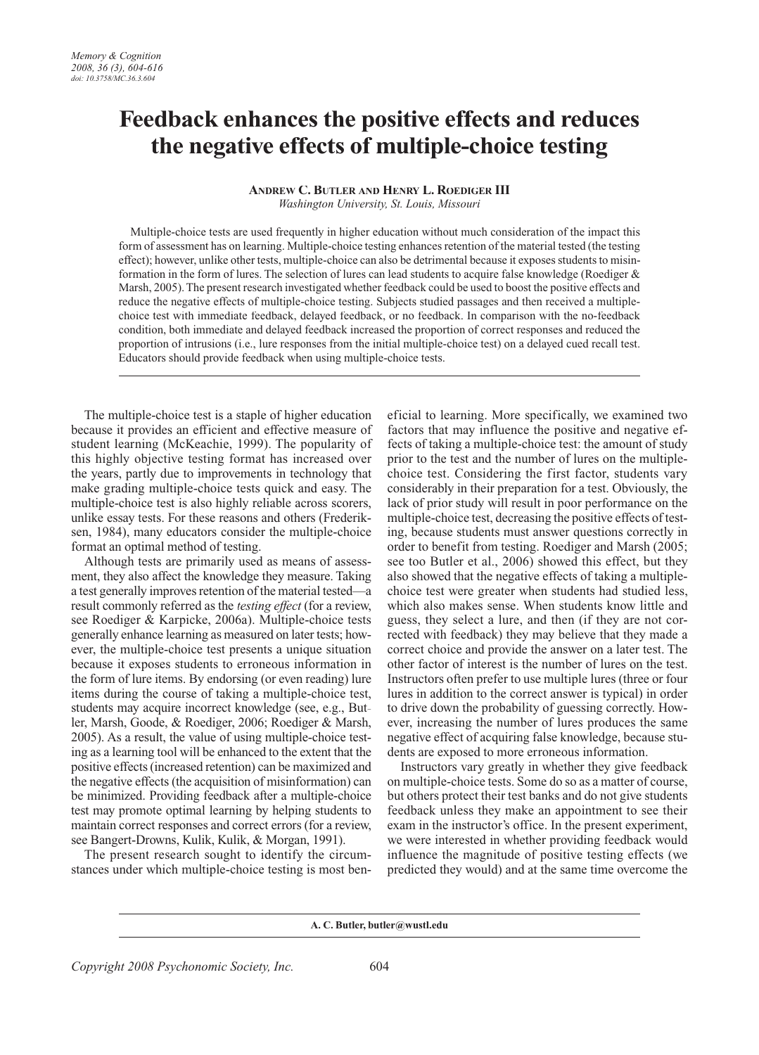# **Feedback enhances the positive effects and reduces the negative effects of multiple-choice testing**

# **ANDREW C. BUTLER AND HENRY L. ROEDIGER III**

*Washington University, St. Louis, Missouri*

Multiple-choice tests are used frequently in higher education without much consideration of the impact this form of assessment has on learning. Multiple-choice testing enhances retention of the material tested (the testing effect); however, unlike other tests, multiple-choice can also be detrimental because it exposes students to misinformation in the form of lures. The selection of lures can lead students to acquire false knowledge (Roediger  $\&$ Marsh, 2005). The present research investigated whether feedback could be used to boost the positive effects and reduce the negative effects of multiple-choice testing. Subjects studied passages and then received a multiplechoice test with immediate feedback, delayed feedback, or no feedback. In comparison with the no-feedback condition, both immediate and delayed feedback increased the proportion of correct responses and reduced the proportion of intrusions (i.e., lure responses from the initial multiple-choice test) on a delayed cued recall test. Educators should provide feedback when using multiple-choice tests.

The multiple-choice test is a staple of higher education because it provides an efficient and effective measure of student learning (McKeachie, 1999). The popularity of this highly objective testing format has increased over the years, partly due to improvements in technology that make grading multiple-choice tests quick and easy. The multiple-choice test is also highly reliable across scorers, unlike essay tests. For these reasons and others (Frederiksen, 1984), many educators consider the multiple-choice format an optimal method of testing.

Although tests are primarily used as means of assessment, they also affect the knowledge they measure. Taking a test generally improves retention of the material tested—a result commonly referred as the *testing effect* (for a review, see Roediger & Karpicke, 2006a). Multiple-choice tests generally enhance learning as measured on later tests; however, the multiple-choice test presents a unique situation because it exposes students to erroneous information in the form of lure items. By endorsing (or even reading) lure items during the course of taking a multiple-choice test, students may acquire incorrect knowledge (see, e.g., Butler, Marsh, Goode, & Roediger, 2006; Roediger & Marsh, 2005). As a result, the value of using multiple-choice testing as a learning tool will be enhanced to the extent that the positive effects (increased retention) can be maximized and the negative effects (the acquisition of misinformation) can be minimized. Providing feedback after a multiple-choice test may promote optimal learning by helping students to maintain correct responses and correct errors (for a review, see Bangert-Drowns, Kulik, Kulik, & Morgan, 1991).

The present research sought to identify the circumstances under which multiple-choice testing is most beneficial to learning. More specifically, we examined two factors that may influence the positive and negative effects of taking a multiple-choice test: the amount of study prior to the test and the number of lures on the multiplechoice test. Considering the first factor, students vary considerably in their preparation for a test. Obviously, the lack of prior study will result in poor performance on the multiple-choice test, decreasing the positive effects of testing, because students must answer questions correctly in order to benefit from testing. Roediger and Marsh (2005; see too Butler et al., 2006) showed this effect, but they also showed that the negative effects of taking a multiplechoice test were greater when students had studied less, which also makes sense. When students know little and guess, they select a lure, and then (if they are not corrected with feedback) they may believe that they made a correct choice and provide the answer on a later test. The other factor of interest is the number of lures on the test. Instructors often prefer to use multiple lures (three or four lures in addition to the correct answer is typical) in order to drive down the probability of guessing correctly. However, increasing the number of lures produces the same negative effect of acquiring false knowledge, because students are exposed to more erroneous information.

Instructors vary greatly in whether they give feedback on multiple-choice tests. Some do so as a matter of course, but others protect their test banks and do not give students feedback unless they make an appointment to see their exam in the instructor's office. In the present experiment, we were interested in whether providing feedback would influence the magnitude of positive testing effects (we predicted they would) and at the same time overcome the

**A. C. Butler, butler@wustl.edu**

*Copyright 2008 Psychonomic Society, Inc.* 604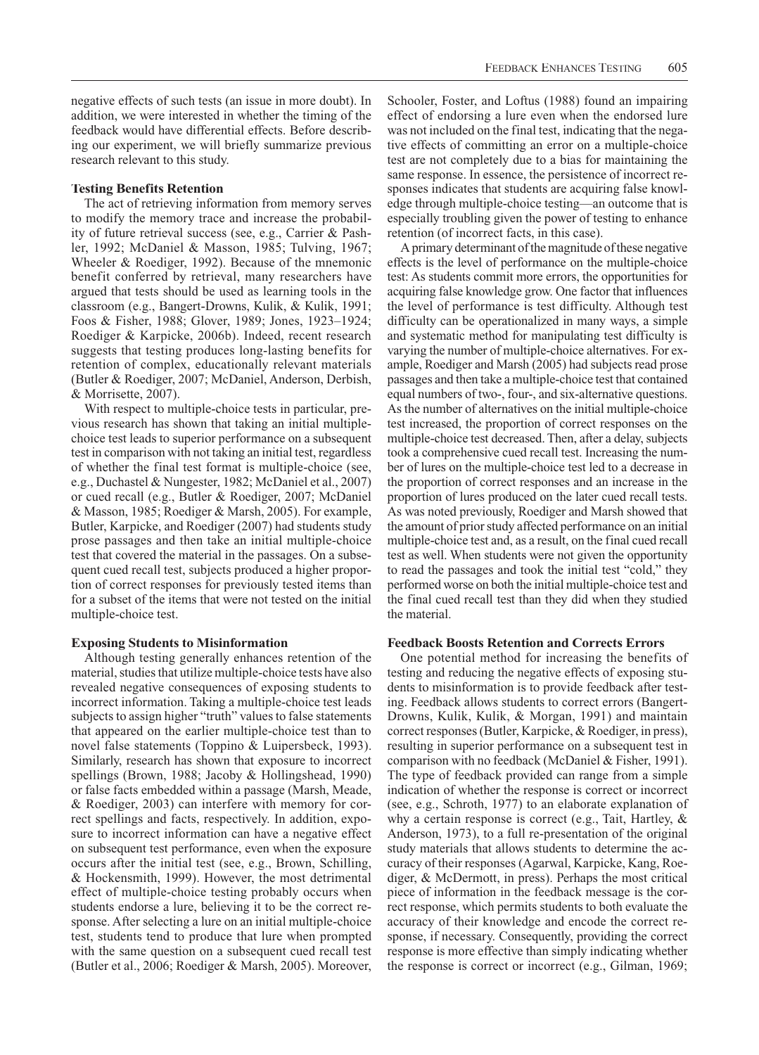negative effects of such tests (an issue in more doubt). In addition, we were interested in whether the timing of the feedback would have differential effects. Before describing our experiment, we will briefly summarize previous research relevant to this study.

# **Testing Benefits Retention**

The act of retrieving information from memory serves to modify the memory trace and increase the probability of future retrieval success (see, e.g., Carrier & Pashler, 1992; McDaniel & Masson, 1985; Tulving, 1967; Wheeler & Roediger, 1992). Because of the mnemonic benefit conferred by retrieval, many researchers have argued that tests should be used as learning tools in the classroom (e.g., Bangert-Drowns, Kulik, & Kulik, 1991; Foos & Fisher, 1988; Glover, 1989; Jones, 1923–1924; Roediger & Karpicke, 2006b). Indeed, recent research suggests that testing produces long-lasting benefits for retention of complex, educationally relevant materials (Butler & Roediger, 2007; McDaniel, Anderson, Derbish, & Morrisette, 2007).

With respect to multiple-choice tests in particular, previous research has shown that taking an initial multiplechoice test leads to superior performance on a subsequent test in comparison with not taking an initial test, regardless of whether the final test format is multiple-choice (see, e.g., Duchastel & Nungester, 1982; McDaniel et al., 2007) or cued recall (e.g., Butler & Roediger, 2007; McDaniel & Masson, 1985; Roediger & Marsh, 2005). For example, Butler, Karpicke, and Roediger (2007) had students study prose passages and then take an initial multiple-choice test that covered the material in the passages. On a subsequent cued recall test, subjects produced a higher proportion of correct responses for previously tested items than for a subset of the items that were not tested on the initial multiple-choice test.

## **Exposing Students to Misinformation**

Although testing generally enhances retention of the material, studies that utilize multiple-choice tests have also revealed negative consequences of exposing students to incorrect information. Taking a multiple-choice test leads subjects to assign higher "truth" values to false statements that appeared on the earlier multiple-choice test than to novel false statements (Toppino & Luipersbeck, 1993). Similarly, research has shown that exposure to incorrect spellings (Brown, 1988; Jacoby & Hollingshead, 1990) or false facts embedded within a passage (Marsh, Meade, & Roediger, 2003) can interfere with memory for correct spellings and facts, respectively. In addition, exposure to incorrect information can have a negative effect on subsequent test performance, even when the exposure occurs after the initial test (see, e.g., Brown, Schilling, & Hockensmith, 1999). However, the most detrimental effect of multiple-choice testing probably occurs when students endorse a lure, believing it to be the correct response. After selecting a lure on an initial multiple-choice test, students tend to produce that lure when prompted with the same question on a subsequent cued recall test (Butler et al., 2006; Roediger & Marsh, 2005). Moreover, Schooler, Foster, and Loftus (1988) found an impairing effect of endorsing a lure even when the endorsed lure was not included on the final test, indicating that the negative effects of committing an error on a multiple-choice test are not completely due to a bias for maintaining the same response. In essence, the persistence of incorrect responses indicates that students are acquiring false knowledge through multiple-choice testing—an outcome that is especially troubling given the power of testing to enhance retention (of incorrect facts, in this case).

A primary determinant of the magnitude of these negative effects is the level of performance on the multiple-choice test: As students commit more errors, the opportunities for acquiring false knowledge grow. One factor that influences the level of performance is test difficulty. Although test difficulty can be operationalized in many ways, a simple and systematic method for manipulating test difficulty is varying the number of multiple-choice alternatives. For example, Roediger and Marsh (2005) had subjects read prose passages and then take a multiple-choice test that contained equal numbers of two-, four-, and six-alternative questions. As the number of alternatives on the initial multiple-choice test increased, the proportion of correct responses on the multiple-choice test decreased. Then, after a delay, subjects took a comprehensive cued recall test. Increasing the number of lures on the multiple-choice test led to a decrease in the proportion of correct responses and an increase in the proportion of lures produced on the later cued recall tests. As was noted previously, Roediger and Marsh showed that the amount of prior study affected performance on an initial multiple-choice test and, as a result, on the final cued recall test as well. When students were not given the opportunity to read the passages and took the initial test "cold," they performed worse on both the initial multiple-choice test and the final cued recall test than they did when they studied the material.

## **Feedback Boosts Retention and Corrects Errors**

One potential method for increasing the benefits of testing and reducing the negative effects of exposing students to misinformation is to provide feedback after testing. Feedback allows students to correct errors (Bangert-Drowns, Kulik, Kulik, & Morgan, 1991) and maintain correct responses (Butler, Karpicke, & Roediger, in press), resulting in superior performance on a subsequent test in comparison with no feedback (McDaniel & Fisher, 1991). The type of feedback provided can range from a simple indication of whether the response is correct or incorrect (see, e.g., Schroth, 1977) to an elaborate explanation of why a certain response is correct (e.g., Tait, Hartley, & Anderson, 1973), to a full re-presentation of the original study materials that allows students to determine the accuracy of their responses (Agarwal, Karpicke, Kang, Roediger, & McDermott, in press). Perhaps the most critical piece of information in the feedback message is the correct response, which permits students to both evaluate the accuracy of their knowledge and encode the correct response, if necessary. Consequently, providing the correct response is more effective than simply indicating whether the response is correct or incorrect (e.g., Gilman, 1969;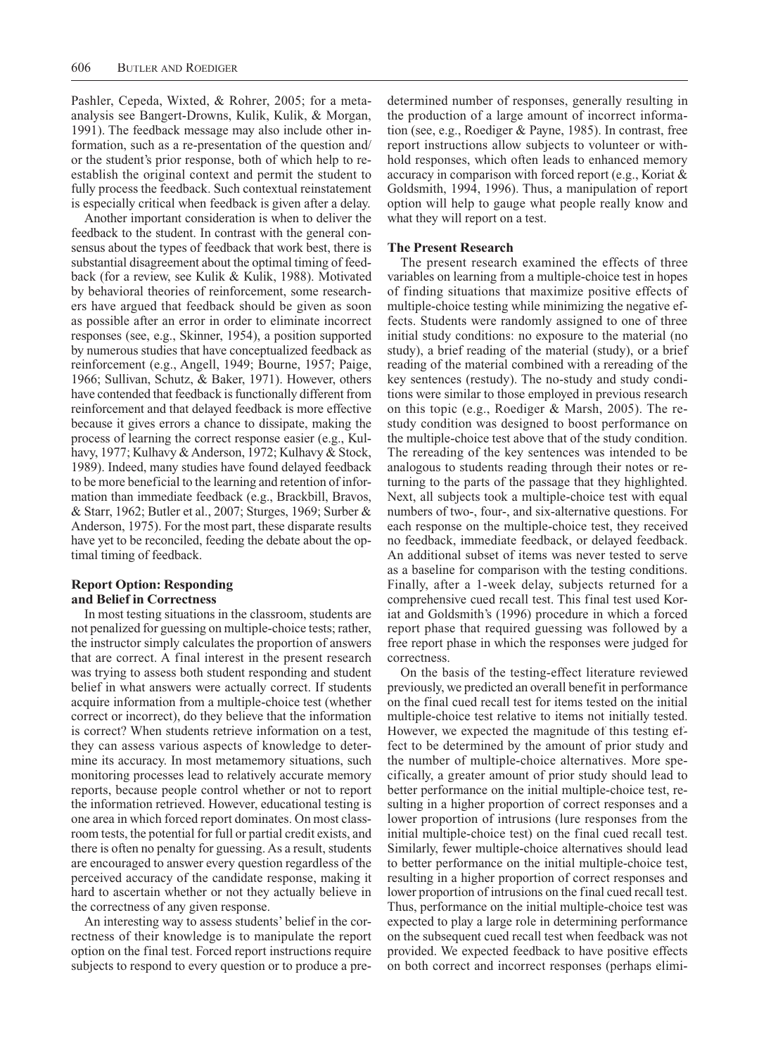Pashler, Cepeda, Wixted, & Rohrer, 2005; for a metaanalysis see Bangert-Drowns, Kulik, Kulik, & Morgan, 1991). The feedback message may also include other information, such as a re-presentation of the question and/ or the student's prior response, both of which help to reestablish the original context and permit the student to fully process the feedback. Such contextual reinstatement is especially critical when feedback is given after a delay.

Another important consideration is when to deliver the feedback to the student. In contrast with the general consensus about the types of feedback that work best, there is substantial disagreement about the optimal timing of feedback (for a review, see Kulik & Kulik, 1988). Motivated by behavioral theories of reinforcement, some researchers have argued that feedback should be given as soon as possible after an error in order to eliminate incorrect responses (see, e.g., Skinner, 1954), a position supported by numerous studies that have conceptualized feedback as reinforcement (e.g., Angell, 1949; Bourne, 1957; Paige, 1966; Sullivan, Schutz, & Baker, 1971). However, others have contended that feedback is functionally different from reinforcement and that delayed feedback is more effective because it gives errors a chance to dissipate, making the process of learning the correct response easier (e.g., Kulhavy, 1977; Kulhavy & Anderson, 1972; Kulhavy & Stock, 1989). Indeed, many studies have found delayed feedback to be more beneficial to the learning and retention of information than immediate feedback (e.g., Brackbill, Bravos, & Starr, 1962; Butler et al., 2007; Sturges, 1969; Surber & Anderson, 1975). For the most part, these disparate results have yet to be reconciled, feeding the debate about the optimal timing of feedback.

# **Report Option: Responding and Belief in Correctness**

In most testing situations in the classroom, students are not penalized for guessing on multiple-choice tests; rather, the instructor simply calculates the proportion of answers that are correct. A final interest in the present research was trying to assess both student responding and student belief in what answers were actually correct. If students acquire information from a multiple-choice test (whether correct or incorrect), do they believe that the information is correct? When students retrieve information on a test, they can assess various aspects of knowledge to determine its accuracy. In most metamemory situations, such monitoring processes lead to relatively accurate memory reports, because people control whether or not to report the information retrieved. However, educational testing is one area in which forced report dominates. On most classroom tests, the potential for full or partial credit exists, and there is often no penalty for guessing. As a result, students are encouraged to answer every question regardless of the perceived accuracy of the candidate response, making it hard to ascertain whether or not they actually believe in the correctness of any given response.

An interesting way to assess students' belief in the correctness of their knowledge is to manipulate the report option on the final test. Forced report instructions require subjects to respond to every question or to produce a predetermined number of responses, generally resulting in the production of a large amount of incorrect information (see, e.g., Roediger & Payne, 1985). In contrast, free report instructions allow subjects to volunteer or withhold responses, which often leads to enhanced memory accuracy in comparison with forced report (e.g., Koriat & Goldsmith, 1994, 1996). Thus, a manipulation of report option will help to gauge what people really know and what they will report on a test.

## **The Present Research**

The present research examined the effects of three variables on learning from a multiple-choice test in hopes of finding situations that maximize positive effects of multiple-choice testing while minimizing the negative effects. Students were randomly assigned to one of three initial study conditions: no exposure to the material (no study), a brief reading of the material (study), or a brief reading of the material combined with a rereading of the key sentences (restudy). The no-study and study conditions were similar to those employed in previous research on this topic (e.g., Roediger & Marsh, 2005). The restudy condition was designed to boost performance on the multiple-choice test above that of the study condition. The rereading of the key sentences was intended to be analogous to students reading through their notes or returning to the parts of the passage that they highlighted. Next, all subjects took a multiple-choice test with equal numbers of two-, four-, and six-alternative questions. For each response on the multiple-choice test, they received no feedback, immediate feedback, or delayed feedback. An additional subset of items was never tested to serve as a baseline for comparison with the testing conditions. Finally, after a 1-week delay, subjects returned for a comprehensive cued recall test. This final test used Koriat and Goldsmith's (1996) procedure in which a forced report phase that required guessing was followed by a free report phase in which the responses were judged for correctness.

On the basis of the testing-effect literature reviewed previously, we predicted an overall benefit in performance on the final cued recall test for items tested on the initial multiple-choice test relative to items not initially tested. However, we expected the magnitude of this testing effect to be determined by the amount of prior study and the number of multiple-choice alternatives. More specifically, a greater amount of prior study should lead to better performance on the initial multiple-choice test, resulting in a higher proportion of correct responses and a lower proportion of intrusions (lure responses from the initial multiple-choice test) on the final cued recall test. Similarly, fewer multiple-choice alternatives should lead to better performance on the initial multiple-choice test, resulting in a higher proportion of correct responses and lower proportion of intrusions on the final cued recall test. Thus, performance on the initial multiple-choice test was expected to play a large role in determining performance on the subsequent cued recall test when feedback was not provided. We expected feedback to have positive effects on both correct and incorrect responses (perhaps elimi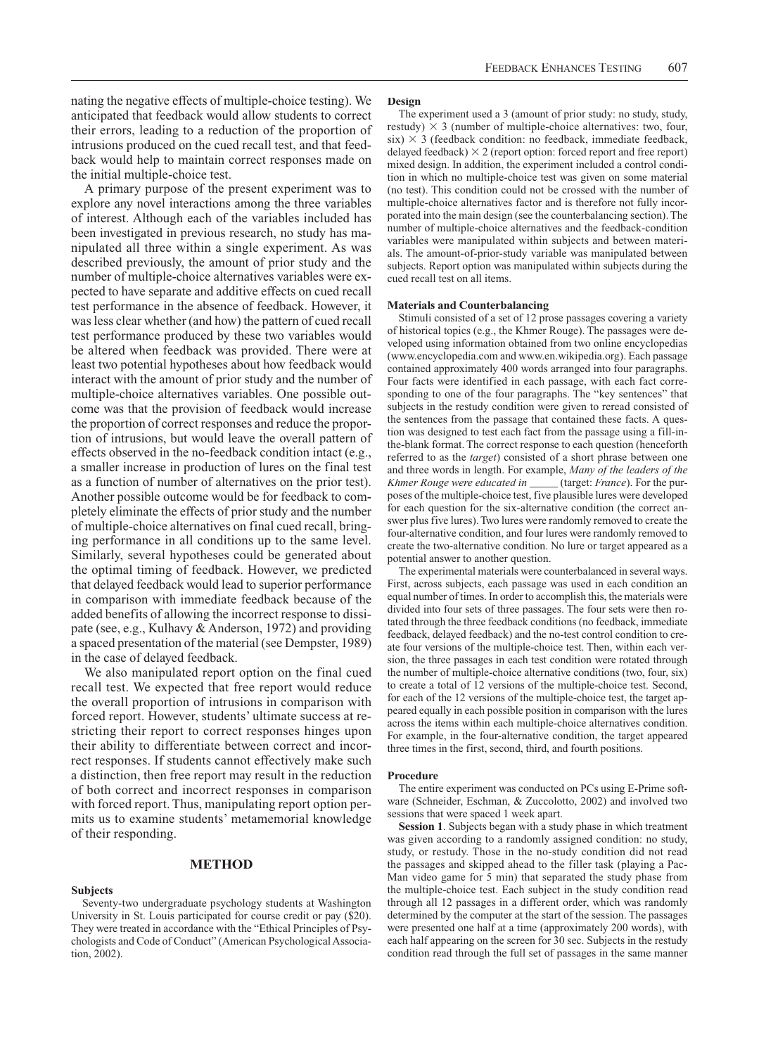nating the negative effects of multiple-choice testing). We anticipated that feedback would allow students to correct their errors, leading to a reduction of the proportion of intrusions produced on the cued recall test, and that feedback would help to maintain correct responses made on the initial multiple-choice test.

A primary purpose of the present experiment was to explore any novel interactions among the three variables of interest. Although each of the variables included has been investigated in previous research, no study has manipulated all three within a single experiment. As was described previously, the amount of prior study and the number of multiple-choice alternatives variables were expected to have separate and additive effects on cued recall test performance in the absence of feedback. However, it was less clear whether (and how) the pattern of cued recall test performance produced by these two variables would be altered when feedback was provided. There were at least two potential hypotheses about how feedback would interact with the amount of prior study and the number of multiple-choice alternatives variables. One possible outcome was that the provision of feedback would increase the proportion of correct responses and reduce the proportion of intrusions, but would leave the overall pattern of effects observed in the no-feedback condition intact (e.g., a smaller increase in production of lures on the final test as a function of number of alternatives on the prior test). Another possible outcome would be for feedback to completely eliminate the effects of prior study and the number of multiple-choice alternatives on final cued recall, bringing performance in all conditions up to the same level. Similarly, several hypotheses could be generated about the optimal timing of feedback. However, we predicted that delayed feedback would lead to superior performance in comparison with immediate feedback because of the added benefits of allowing the incorrect response to dissipate (see, e.g., Kulhavy & Anderson, 1972) and providing a spaced presentation of the material (see Dempster, 1989) in the case of delayed feedback.

We also manipulated report option on the final cued recall test. We expected that free report would reduce the overall proportion of intrusions in comparison with forced report. However, students' ultimate success at restricting their report to correct responses hinges upon their ability to differentiate between correct and incorrect responses. If students cannot effectively make such a distinction, then free report may result in the reduction of both correct and incorrect responses in comparison with forced report. Thus, manipulating report option permits us to examine students' metamemorial knowledge of their responding.

#### **METHOD**

#### **Subjects**

Seventy-two undergraduate psychology students at Washington University in St. Louis participated for course credit or pay (\$20). They were treated in accordance with the "Ethical Principles of Psychologists and Code of Conduct" (American Psychological Association, 2002).

#### **Design**

The experiment used a 3 (amount of prior study: no study, study, restudy)  $\times$  3 (number of multiple-choice alternatives: two, four, six)  $\times$  3 (feedback condition: no feedback, immediate feedback, delayed feedback)  $\times$  2 (report option: forced report and free report) mixed design. In addition, the experiment included a control condition in which no multiple-choice test was given on some material (no test). This condition could not be crossed with the number of multiple-choice alternatives factor and is therefore not fully incorporated into the main design (see the counterbalancing section). The number of multiple-choice alternatives and the feedback-condition variables were manipulated within subjects and between materials. The amount-of-prior-study variable was manipulated between subjects. Report option was manipulated within subjects during the cued recall test on all items.

#### **Materials and Counterbalancing**

Stimuli consisted of a set of 12 prose passages covering a variety of historical topics (e.g., the Khmer Rouge). The passages were developed using information obtained from two online encyclopedias (www.encyclopedia.com and www.en.wikipedia.org). Each passage contained approximately 400 words arranged into four paragraphs. Four facts were identified in each passage, with each fact corresponding to one of the four paragraphs. The "key sentences" that subjects in the restudy condition were given to reread consisted of the sentences from the passage that contained these facts. A question was designed to test each fact from the passage using a fill-inthe-blank format. The correct response to each question (henceforth referred to as the *target*) consisted of a short phrase between one and three words in length. For example, *Many of the leaders of the Khmer Rouge were educated in \_\_\_\_\_* (target: *France*). For the purposes of the multiple-choice test, five plausible lures were developed for each question for the six-alternative condition (the correct answer plus five lures). Two lures were randomly removed to create the four-alternative condition, and four lures were randomly removed to create the two-alternative condition. No lure or target appeared as a potential answer to another question.

The experimental materials were counterbalanced in several ways. First, across subjects, each passage was used in each condition an equal number of times. In order to accomplish this, the materials were divided into four sets of three passages. The four sets were then rotated through the three feedback conditions (no feedback, immediate feedback, delayed feedback) and the no-test control condition to create four versions of the multiple-choice test. Then, within each version, the three passages in each test condition were rotated through the number of multiple-choice alternative conditions (two, four, six) to create a total of 12 versions of the multiple-choice test. Second, for each of the 12 versions of the multiple-choice test, the target appeared equally in each possible position in comparison with the lures across the items within each multiple-choice alternatives condition. For example, in the four-alternative condition, the target appeared three times in the first, second, third, and fourth positions.

#### **Procedure**

The entire experiment was conducted on PCs using E-Prime software (Schneider, Eschman, & Zuccolotto, 2002) and involved two sessions that were spaced 1 week apart.

**Session 1**. Subjects began with a study phase in which treatment was given according to a randomly assigned condition: no study, study, or restudy. Those in the no-study condition did not read the passages and skipped ahead to the filler task (playing a Pac-Man video game for 5 min) that separated the study phase from the multiple-choice test. Each subject in the study condition read through all 12 passages in a different order, which was randomly determined by the computer at the start of the session. The passages were presented one half at a time (approximately 200 words), with each half appearing on the screen for 30 sec. Subjects in the restudy condition read through the full set of passages in the same manner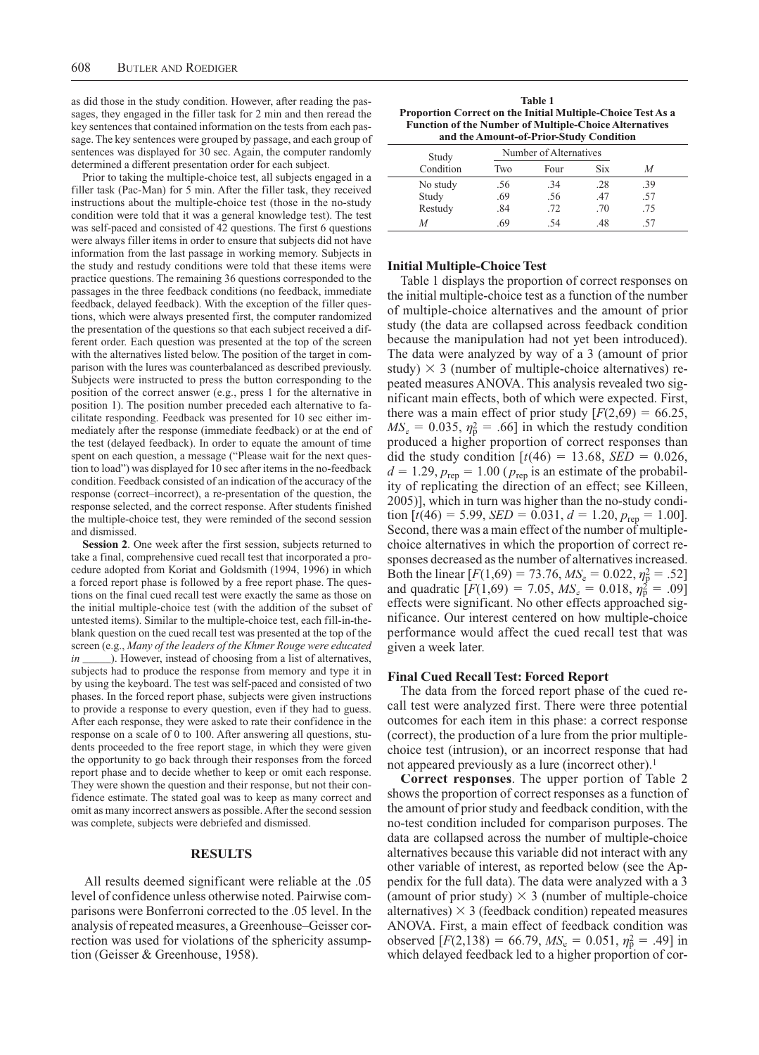as did those in the study condition. However, after reading the passages, they engaged in the filler task for 2 min and then reread the key sentences that contained information on the tests from each passage. The key sentences were grouped by passage, and each group of sentences was displayed for 30 sec. Again, the computer randomly determined a different presentation order for each subject.

Prior to taking the multiple-choice test, all subjects engaged in a filler task (Pac-Man) for 5 min. After the filler task, they received instructions about the multiple-choice test (those in the no-study condition were told that it was a general knowledge test). The test was self-paced and consisted of 42 questions. The first 6 questions were always filler items in order to ensure that subjects did not have information from the last passage in working memory. Subjects in the study and restudy conditions were told that these items were practice questions. The remaining 36 questions corresponded to the passages in the three feedback conditions (no feedback, immediate feedback, delayed feedback). With the exception of the filler questions, which were always presented first, the computer randomized the presentation of the questions so that each subject received a different order. Each question was presented at the top of the screen with the alternatives listed below. The position of the target in comparison with the lures was counterbalanced as described previously. Subjects were instructed to press the button corresponding to the position of the correct answer (e.g., press 1 for the alternative in position 1). The position number preceded each alternative to facilitate responding. Feedback was presented for 10 sec either immediately after the response (immediate feedback) or at the end of the test (delayed feedback). In order to equate the amount of time spent on each question, a message ("Please wait for the next question to load") was displayed for 10 sec after items in the no-feedback condition. Feedback consisted of an indication of the accuracy of the response (correct–incorrect), a re-presentation of the question, the response selected, and the correct response. After students finished the multiple-choice test, they were reminded of the second session and dismissed.

**Session 2**. One week after the first session, subjects returned to take a final, comprehensive cued recall test that incorporated a procedure adopted from Koriat and Goldsmith (1994, 1996) in which a forced report phase is followed by a free report phase. The questions on the final cued recall test were exactly the same as those on the initial multiple-choice test (with the addition of the subset of untested items). Similar to the multiple-choice test, each fill-in-theblank question on the cued recall test was presented at the top of the screen (e.g., *Many of the leaders of the Khmer Rouge were educated in* \_\_\_\_\_\_\_.). However, instead of choosing from a list of alternatives, subjects had to produce the response from memory and type it in by using the keyboard. The test was self-paced and consisted of two phases. In the forced report phase, subjects were given instructions to provide a response to every question, even if they had to guess. After each response, they were asked to rate their confidence in the response on a scale of 0 to 100. After answering all questions, students proceeded to the free report stage, in which they were given the opportunity to go back through their responses from the forced report phase and to decide whether to keep or omit each response. They were shown the question and their response, but not their confidence estimate. The stated goal was to keep as many correct and omit as many incorrect answers as possible. After the second session was complete, subjects were debriefed and dismissed.

#### **RESULTS**

All results deemed significant were reliable at the .05 level of confidence unless otherwise noted. Pairwise comparisons were Bonferroni corrected to the .05 level. In the analysis of repeated measures, a Greenhouse–Geisser correction was used for violations of the sphericity assumption (Geisser & Greenhouse, 1958).

| <b>Table 1</b>                                                |
|---------------------------------------------------------------|
| Proportion Correct on the Initial Multiple-Choice Test As a   |
| <b>Function of the Number of Multiple-Choice Alternatives</b> |
| and the Amount-of-Prior-Study Condition                       |
|                                                               |

| Study     |     | Number of Alternatives |     |     |  |
|-----------|-----|------------------------|-----|-----|--|
| Condition | Two | Four                   | Six |     |  |
| No study  | .56 | .34                    | .28 | .39 |  |
| Study     | .69 | .56                    | .47 | .57 |  |
| Restudy   | .84 | .72                    | .70 | .75 |  |
| М         | .69 | -54                    | 48  | -57 |  |

#### **Initial Multiple-Choice Test**

Table 1 displays the proportion of correct responses on the initial multiple-choice test as a function of the number of multiple-choice alternatives and the amount of prior study (the data are collapsed across feedback condition because the manipulation had not yet been introduced). The data were analyzed by way of a 3 (amount of prior study)  $\times$  3 (number of multiple-choice alternatives) repeated measures ANOVA. This analysis revealed two significant main effects, both of which were expected. First, there was a main effect of prior study  $[F(2,69) = 66.25,$  $MS_e = 0.035$ ,  $\eta_p^2 = .66$ ] in which the restudy condition produced a higher proportion of correct responses than did the study condition  $[t(46) = 13.68, SED = 0.026,$  $d = 1.29$ ,  $p_{\text{rep}} = 1.00$  ( $p_{\text{rep}}$  is an estimate of the probability of replicating the direction of an effect; see Killeen, 2005)], which in turn was higher than the no-study condition  $\left[\frac{t(46)}{5.99}, \frac{SED}{SED} = 0.031, d = 1.20, p_{rep} = 1.00\right]$ . Second, there was a main effect of the number of multiplechoice alternatives in which the proportion of correct responses decreased as the number of alternatives increased. Both the linear  $[F(1,69) = 73.76, MS_e = 0.022, \eta_p^2 = .52]$ and quadratic  $[F(1,69) = 7.05, MS_e = 0.018, \eta_{p}^2 = .09]$ effects were significant. No other effects approached significance. Our interest centered on how multiple-choice performance would affect the cued recall test that was given a week later.

## **Final Cued Recall Test: Forced Report**

The data from the forced report phase of the cued recall test were analyzed first. There were three potential outcomes for each item in this phase: a correct response (correct), the production of a lure from the prior multiplechoice test (intrusion), or an incorrect response that had not appeared previously as a lure (incorrect other).<sup>1</sup>

**Correct responses**. The upper portion of Table 2 shows the proportion of correct responses as a function of the amount of prior study and feedback condition, with the no-test condition included for comparison purposes. The data are collapsed across the number of multiple-choice alternatives because this variable did not interact with any other variable of interest, as reported below (see the Appendix for the full data). The data were analyzed with a 3 (amount of prior study)  $\times$  3 (number of multiple-choice alternatives)  $\times$  3 (feedback condition) repeated measures ANOVA. First, a main effect of feedback condition was observed  $[F(2,138) = 66.79, MS_e = 0.051, \eta_p^2 = .49]$  in which delayed feedback led to a higher proportion of cor-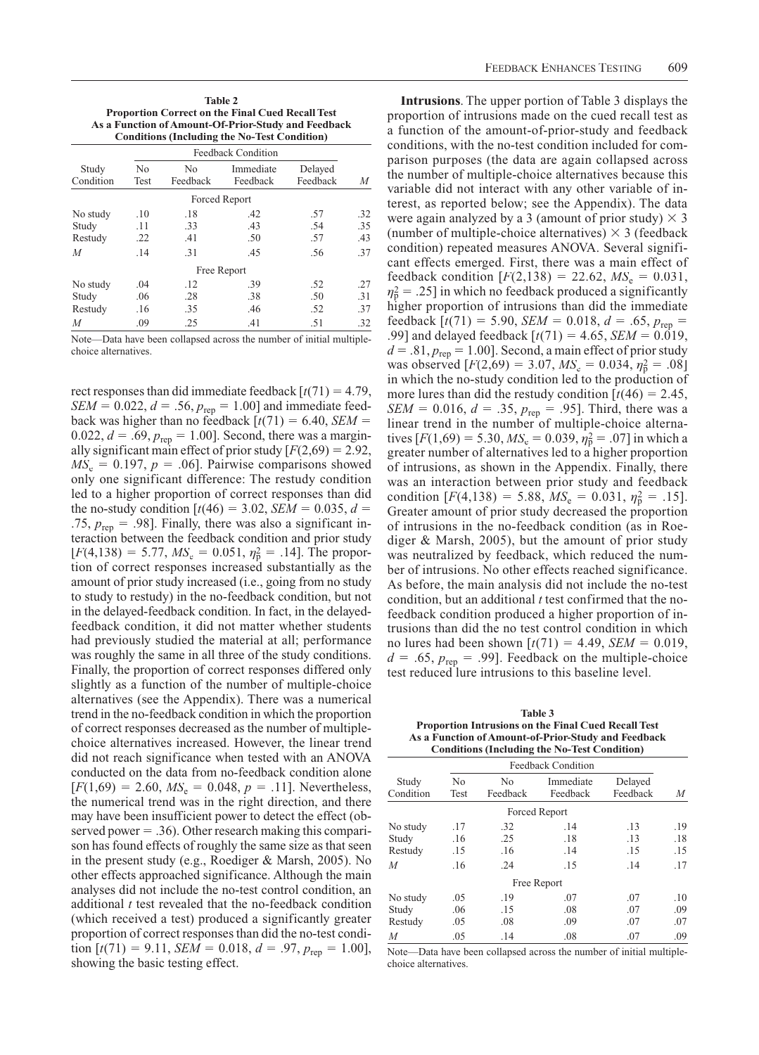| Table 2                                                 |
|---------------------------------------------------------|
| <b>Proportion Correct on the Final Cued Recall Test</b> |
| As a Function of Amount-Of-Prior-Study and Feedback     |
| <b>Conditions (Including the No-Test Condition)</b>     |

|                    | Feedback Condition |                 |                       |                     |     |  |  |
|--------------------|--------------------|-----------------|-----------------------|---------------------|-----|--|--|
| Study<br>Condition | No<br><b>Test</b>  | No.<br>Feedback | Immediate<br>Feedback | Delayed<br>Feedback | M   |  |  |
|                    |                    |                 | Forced Report         |                     |     |  |  |
| No study           | .10                | .18             | .42                   | .57                 | .32 |  |  |
| Study              | .11                | .33             | .43                   | .54                 | .35 |  |  |
| Restudy            | .22                | .41             | .50                   | .57                 | .43 |  |  |
| M                  | .14                | .31             | .45                   | .56                 | .37 |  |  |
|                    |                    |                 | Free Report           |                     |     |  |  |
| No study           | .04                | .12             | .39                   | .52                 | .27 |  |  |
| Study              | .06                | .28             | .38                   | .50                 | .31 |  |  |
| Restudy            | .16                | .35             | .46                   | .52                 | .37 |  |  |
| M                  | .09                | .25             | .41                   | .51                 | .32 |  |  |

Note—Data have been collapsed across the number of initial multiplechoice alternatives.

rect responses than did immediate feedback  $[t(71) = 4.79]$ *SEM* = 0.022,  $d = .56$ ,  $p_{rep} = 1.00$ ] and immediate feedback was higher than no feedback  $[t(71) = 6.40, SEM =$ 0.022,  $d = .69$ ,  $p_{\text{rep}} = 1.00$ ]. Second, there was a marginally significant main effect of prior study  $[F(2,69) = 2.92]$ ,  $MS_e = 0.197$ ,  $p = .06$ ]. Pairwise comparisons showed only one significant difference: The restudy condition led to a higher proportion of correct responses than did the no-study condition  $[t(46) = 3.02, SEM = 0.035, d =$ .75,  $p_{\text{rep}}$  = .98]. Finally, there was also a significant interaction between the feedback condition and prior study  $[F(4,138) = 5.77, MS_e = 0.051, \eta_p^2 = .14]$ . The proportion of correct responses increased substantially as the amount of prior study increased (i.e., going from no study to study to restudy) in the no-feedback condition, but not in the delayed-feedback condition. In fact, in the delayedfeedback condition, it did not matter whether students had previously studied the material at all; performance was roughly the same in all three of the study conditions. Finally, the proportion of correct responses differed only slightly as a function of the number of multiple-choice alternatives (see the Appendix). There was a numerical trend in the no-feedback condition in which the proportion of correct responses decreased as the number of multiplechoice alternatives increased. However, the linear trend did not reach significance when tested with an ANOVA conducted on the data from no-feedback condition alone  $[F(1,69) = 2.60, MS_e = 0.048, p = .11]$ . Nevertheless, the numerical trend was in the right direction, and there may have been insufficient power to detect the effect (observed power  $= .36$ ). Other research making this comparison has found effects of roughly the same size as that seen in the present study (e.g., Roediger & Marsh, 2005). No other effects approached significance. Although the main analyses did not include the no-test control condition, an additional *t* test revealed that the no-feedback condition (which received a test) produced a significantly greater proportion of correct responses than did the no-test condition  $[t(71) = 9.11, SEM = 0.018, d = .97, p_{rep} = 1.00]$ , showing the basic testing effect.

**Intrusions**. The upper portion of Table 3 displays the proportion of intrusions made on the cued recall test as a function of the amount-of-prior-study and feedback conditions, with the no-test condition included for comparison purposes (the data are again collapsed across the number of multiple-choice alternatives because this variable did not interact with any other variable of interest, as reported below; see the Appendix). The data were again analyzed by a 3 (amount of prior study)  $\times$  3 (number of multiple-choice alternatives)  $\times$  3 (feedback condition) repeated measures ANOVA. Several significant effects emerged. First, there was a main effect of feedback condition  $[F(2,138) = 22.62, MS_e = 0.031,$  $\eta_p^2$  = .25] in which no feedback produced a significantly higher proportion of intrusions than did the immediate feedback  $\left[\hat{t}(71) = 5.90, SEM = 0.018, d = .65, p_{\text{rep}}\right]$ .99] and delayed feedback  $[t(71) = 4.65, SEM = 0.019,$  $d = .81, p_{\text{rep}} = 1.00$ ]. Second, a main effect of prior study was observed  $[F(2,69) = 3.07, MS_e = 0.034, \eta_p^2 = .08]$ in which the no-study condition led to the production of more lures than did the restudy condition  $\left[\frac{t(46)}{2}\right] = 2.45$ , *SEM* = 0.016,  $d = .35$ ,  $p_{rep} = .95$ ]. Third, there was a linear trend in the number of multiple-choice alternatives  $[F(1,69) = 5.30, MS_e = 0.039, \eta_p^2 = .07]$  in which a greater number of alternatives led to a higher proportion of intrusions, as shown in the Appendix. Finally, there was an interaction between prior study and feedback condition  $[F(4,138) = 5.88, MS_e = 0.031, \eta_p^2 = .15]$ . Greater amount of prior study decreased the proportion of intrusions in the no-feedback condition (as in Roediger & Marsh, 2005), but the amount of prior study was neutralized by feedback, which reduced the number of intrusions. No other effects reached significance. As before, the main analysis did not include the no-test condition, but an additional *t* test confirmed that the nofeedback condition produced a higher proportion of intrusions than did the no test control condition in which no lures had been shown  $[t(71) = 4.49, SEM = 0.019,$  $d = .65$ ,  $p_{\text{rep}} = .99$ ]. Feedback on the multiple-choice test reduced lure intrusions to this baseline level.

**Table 3 Proportion Intrusions on the Final Cued Recall Test As a Function of Amount-of-Prior-Study and Feedback Conditions (Including the No-Test Condition)**

|                    | Feedback Condition     |                |                       |                     |     |  |  |
|--------------------|------------------------|----------------|-----------------------|---------------------|-----|--|--|
| Study<br>Condition | N <sub>0</sub><br>Test | No<br>Feedback | Immediate<br>Feedback | Delayed<br>Feedback | М   |  |  |
|                    |                        | Forced Report  |                       |                     |     |  |  |
| No study           | .17                    | .32            | .14                   | .13                 | .19 |  |  |
| Study              | .25<br>.16             |                | .18                   | .13                 | .18 |  |  |
| Restudy            | .15                    | .16<br>.14     |                       | .15                 | .15 |  |  |
| $\overline{M}$     | .16                    | .24            | .15                   | .14                 | .17 |  |  |
|                    |                        |                | Free Report           |                     |     |  |  |
| No study           | .05                    | .19            | .07                   | .07                 | .10 |  |  |
| Study              | .06                    | .15            | .08                   | .07                 | .09 |  |  |
| Restudy            | .05                    | .08            | .09                   | .07                 | .07 |  |  |
| M                  | .05                    | .14            | .08                   | .07                 | .09 |  |  |

Note—Data have been collapsed across the number of initial multiplechoice alternatives.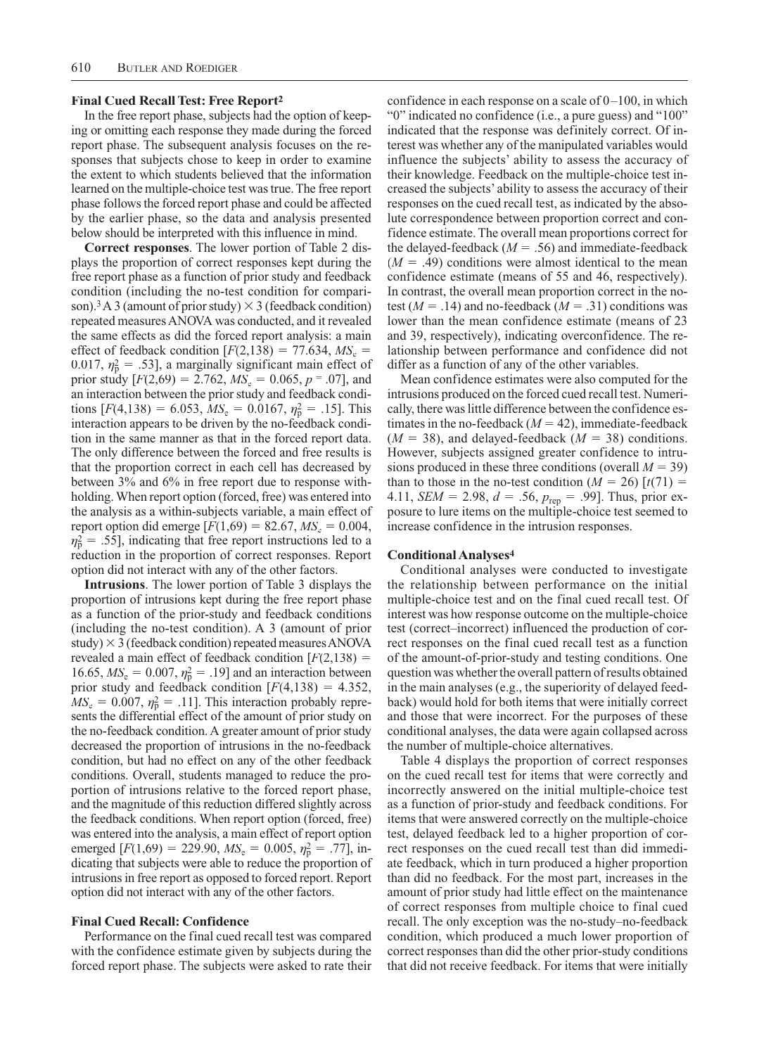## **Final Cued Recall Test: Free Report2**

In the free report phase, subjects had the option of keeping or omitting each response they made during the forced report phase. The subsequent analysis focuses on the responses that subjects chose to keep in order to examine the extent to which students believed that the information learned on the multiple-choice test was true. The free report phase follows the forced report phase and could be affected by the earlier phase, so the data and analysis presented below should be interpreted with this influence in mind.

**Correct responses**. The lower portion of Table 2 displays the proportion of correct responses kept during the free report phase as a function of prior study and feedback condition (including the no-test condition for comparison).<sup>3</sup> A 3 (amount of prior study)  $\times$  3 (feedback condition) repeated measures ANOVA was conducted, and it revealed the same effects as did the forced report analysis: a main effect of feedback condition  $[F(2,138) = 77.634, MS_e]$ 0.017,  $\eta_p^2 = .53$ ], a marginally significant main effect of prior study  $[F(2,69) = 2.762, MS_e = 0.065, p = .07]$ , and an interaction between the prior study and feedback conditions  $[F(4,138) = 6.053, M S<sub>e</sub> = 0.0167, \eta<sub>p</sub><sup>2</sup> = .15]$ . This interaction appears to be driven by the no-feedback condition in the same manner as that in the forced report data. The only difference between the forced and free results is that the proportion correct in each cell has decreased by between 3% and 6% in free report due to response withholding. When report option (forced, free) was entered into the analysis as a within-subjects variable, a main effect of report option did emerge  $[F(1,69) = 82.67, MS_e = 0.004,$  $\eta_p^2 = .55$ ], indicating that free report instructions led to a reduction in the proportion of correct responses. Report option did not interact with any of the other factors.

**Intrusions**. The lower portion of Table 3 displays the proportion of intrusions kept during the free report phase as a function of the prior-study and feedback conditions (including the no-test condition). A 3 (amount of prior study)  $\times$  3 (feedback condition) repeated measures ANOVA revealed a main effect of feedback condition  $[F(2,138)]$ 16.65,  $MS_e = 0.007$ ,  $\eta_p^2 = .19$ ] and an interaction between prior study and feedback condition  $[F(4,138) = 4.352]$ ,  $MS_e = 0.007$ ,  $\eta_p^2 = .11$ ]. This interaction probably represents the differential effect of the amount of prior study on the no-feedback condition. A greater amount of prior study decreased the proportion of intrusions in the no-feedback condition, but had no effect on any of the other feedback conditions. Overall, students managed to reduce the proportion of intrusions relative to the forced report phase, and the magnitude of this reduction differed slightly across the feedback conditions. When report option (forced, free) was entered into the analysis, a main effect of report option emerged  $[F(1,69) = 229.90, MS_e = 0.005, \eta_p^2 = .77]$ , indicating that subjects were able to reduce the proportion of intrusions in free report as opposed to forced report. Report option did not interact with any of the other factors.

## **Final Cued Recall: Confidence**

Performance on the final cued recall test was compared with the confidence estimate given by subjects during the forced report phase. The subjects were asked to rate their confidence in each response on a scale of 0–100, in which "0" indicated no confidence (i.e., a pure guess) and "100" indicated that the response was definitely correct. Of interest was whether any of the manipulated variables would influence the subjects' ability to assess the accuracy of their knowledge. Feedback on the multiple-choice test increased the subjects' ability to assess the accuracy of their responses on the cued recall test, as indicated by the absolute correspondence between proportion correct and confidence estimate. The overall mean proportions correct for the delayed-feedback  $(M = .56)$  and immediate-feedback  $(M = .49)$  conditions were almost identical to the mean confidence estimate (means of 55 and 46, respectively). In contrast, the overall mean proportion correct in the notest ( $M = .14$ ) and no-feedback ( $M = .31$ ) conditions was lower than the mean confidence estimate (means of 23 and 39, respectively), indicating overconfidence. The relationship between performance and confidence did not differ as a function of any of the other variables.

Mean confidence estimates were also computed for the intrusions produced on the forced cued recall test. Numerically, there was little difference between the confidence estimates in the no-feedback  $(M = 42)$ , immediate-feedback  $(M = 38)$ , and delayed-feedback  $(M = 38)$  conditions. However, subjects assigned greater confidence to intrusions produced in these three conditions (overall  $M = 39$ ) than to those in the no-test condition  $(M = 26)$   $\lceil t(71) \rceil$ 4.11, *SEM* = 2.98,  $d = .56$ ,  $p_{rep} = .99$ ]. Thus, prior exposure to lure items on the multiple-choice test seemed to increase confidence in the intrusion responses.

#### **Conditional Analyses4**

Conditional analyses were conducted to investigate the relationship between performance on the initial multiple-choice test and on the final cued recall test. Of interest was how response outcome on the multiple-choice test (correct–incorrect) influenced the production of correct responses on the final cued recall test as a function of the amount-of-prior-study and testing conditions. One question was whether the overall pattern of results obtained in the main analyses (e.g., the superiority of delayed feedback) would hold for both items that were initially correct and those that were incorrect. For the purposes of these conditional analyses, the data were again collapsed across the number of multiple-choice alternatives.

Table 4 displays the proportion of correct responses on the cued recall test for items that were correctly and incorrectly answered on the initial multiple-choice test as a function of prior-study and feedback conditions. For items that were answered correctly on the multiple-choice test, delayed feedback led to a higher proportion of correct responses on the cued recall test than did immediate feedback, which in turn produced a higher proportion than did no feedback. For the most part, increases in the amount of prior study had little effect on the maintenance of correct responses from multiple choice to final cued recall. The only exception was the no-study–no-feedback condition, which produced a much lower proportion of correct responses than did the other prior-study conditions that did not receive feedback. For items that were initially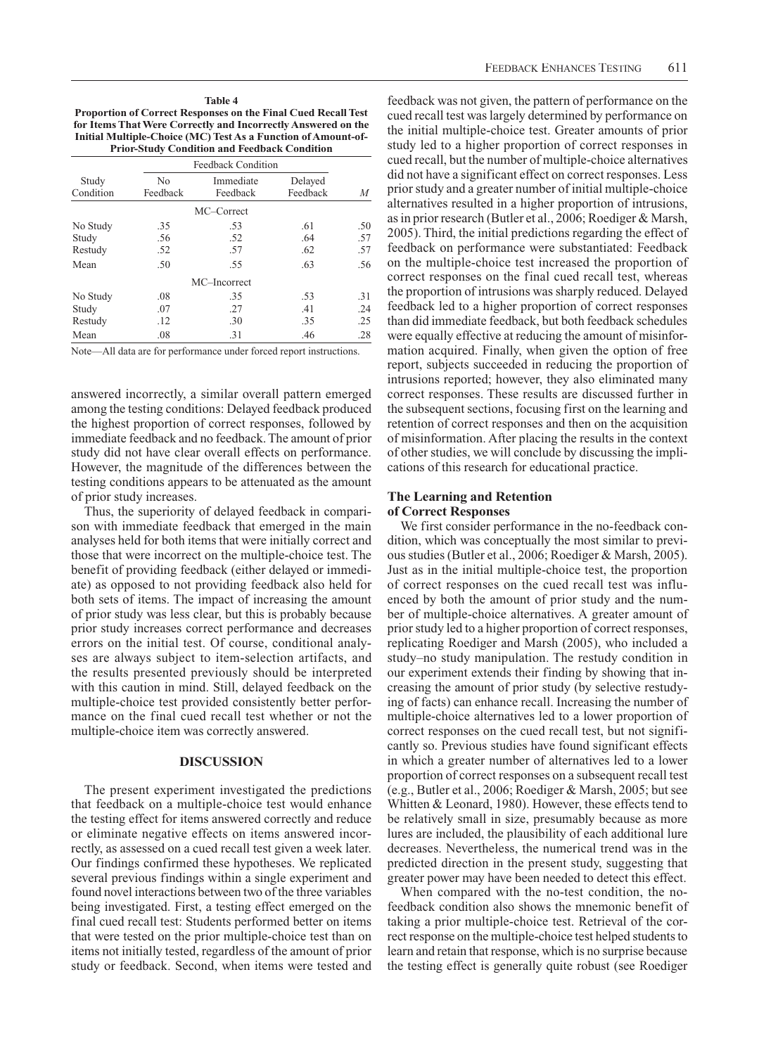#### **Table 4**

**Proportion of Correct Responses on the Final Cued Recall Test for Items That Were Correctly and Incorrectly Answered on the Initial Multiple-Choice (MC) Test As a Function of Amount-of-Prior-Study Condition and Feedback Condition**

|                    |                            | Feedback Condition    |                     |     |  |  |
|--------------------|----------------------------|-----------------------|---------------------|-----|--|--|
| Study<br>Condition | N <sub>0</sub><br>Feedback | Immediate<br>Feedback | Delayed<br>Feedback | M   |  |  |
|                    |                            | MC-Correct            |                     |     |  |  |
| No Study           | .35                        | .53                   | .61                 | .50 |  |  |
| Study              | .56                        | .52                   | .64                 | .57 |  |  |
| Restudy            | .52                        | .57                   | .62                 | .57 |  |  |
| Mean               | .50                        | .55                   | .63                 | .56 |  |  |
|                    |                            | MC-Incorrect          |                     |     |  |  |
| No Study           | .08                        | .35                   | .53                 | .31 |  |  |
| Study              | .07                        | .27                   | .41                 | .24 |  |  |
| Restudy            | .12                        | .30                   | .35                 | .25 |  |  |
| Mean               | .08                        | .31                   | .46                 | .28 |  |  |

Note—All data are for performance under forced report instructions.

answered incorrectly, a similar overall pattern emerged among the testing conditions: Delayed feedback produced the highest proportion of correct responses, followed by immediate feedback and no feedback. The amount of prior study did not have clear overall effects on performance. However, the magnitude of the differences between the testing conditions appears to be attenuated as the amount of prior study increases.

Thus, the superiority of delayed feedback in comparison with immediate feedback that emerged in the main analyses held for both items that were initially correct and those that were incorrect on the multiple-choice test. The benefit of providing feedback (either delayed or immediate) as opposed to not providing feedback also held for both sets of items. The impact of increasing the amount of prior study was less clear, but this is probably because prior study increases correct performance and decreases errors on the initial test. Of course, conditional analyses are always subject to item-selection artifacts, and the results presented previously should be interpreted with this caution in mind. Still, delayed feedback on the multiple-choice test provided consistently better performance on the final cued recall test whether or not the multiple-choice item was correctly answered.

#### **DISCUSSION**

The present experiment investigated the predictions that feedback on a multiple-choice test would enhance the testing effect for items answered correctly and reduce or eliminate negative effects on items answered incorrectly, as assessed on a cued recall test given a week later. Our findings confirmed these hypotheses. We replicated several previous findings within a single experiment and found novel interactions between two of the three variables being investigated. First, a testing effect emerged on the final cued recall test: Students performed better on items that were tested on the prior multiple-choice test than on items not initially tested, regardless of the amount of prior study or feedback. Second, when items were tested and feedback was not given, the pattern of performance on the cued recall test was largely determined by performance on the initial multiple-choice test. Greater amounts of prior study led to a higher proportion of correct responses in cued recall, but the number of multiple-choice alternatives did not have a significant effect on correct responses. Less prior study and a greater number of initial multiple-choice alternatives resulted in a higher proportion of intrusions, as in prior research (Butler et al., 2006; Roediger & Marsh, 2005). Third, the initial predictions regarding the effect of feedback on performance were substantiated: Feedback on the multiple-choice test increased the proportion of correct responses on the final cued recall test, whereas the proportion of intrusions was sharply reduced. Delayed feedback led to a higher proportion of correct responses than did immediate feedback, but both feedback schedules were equally effective at reducing the amount of misinformation acquired. Finally, when given the option of free report, subjects succeeded in reducing the proportion of intrusions reported; however, they also eliminated many correct responses. These results are discussed further in the subsequent sections, focusing first on the learning and retention of correct responses and then on the acquisition of misinformation. After placing the results in the context of other studies, we will conclude by discussing the implications of this research for educational practice.

# **The Learning and Retention of Correct Responses**

We first consider performance in the no-feedback condition, which was conceptually the most similar to previous studies (Butler et al., 2006; Roediger & Marsh, 2005). Just as in the initial multiple-choice test, the proportion of correct responses on the cued recall test was influenced by both the amount of prior study and the number of multiple-choice alternatives. A greater amount of prior study led to a higher proportion of correct responses, replicating Roediger and Marsh (2005), who included a study–no study manipulation. The restudy condition in our experiment extends their finding by showing that increasing the amount of prior study (by selective restudying of facts) can enhance recall. Increasing the number of multiple-choice alternatives led to a lower proportion of correct responses on the cued recall test, but not significantly so. Previous studies have found significant effects in which a greater number of alternatives led to a lower proportion of correct responses on a subsequent recall test (e.g., Butler et al., 2006; Roediger & Marsh, 2005; but see Whitten & Leonard, 1980). However, these effects tend to be relatively small in size, presumably because as more lures are included, the plausibility of each additional lure decreases. Nevertheless, the numerical trend was in the predicted direction in the present study, suggesting that greater power may have been needed to detect this effect.

When compared with the no-test condition, the nofeedback condition also shows the mnemonic benefit of taking a prior multiple-choice test. Retrieval of the correct response on the multiple-choice test helped students to learn and retain that response, which is no surprise because the testing effect is generally quite robust (see Roediger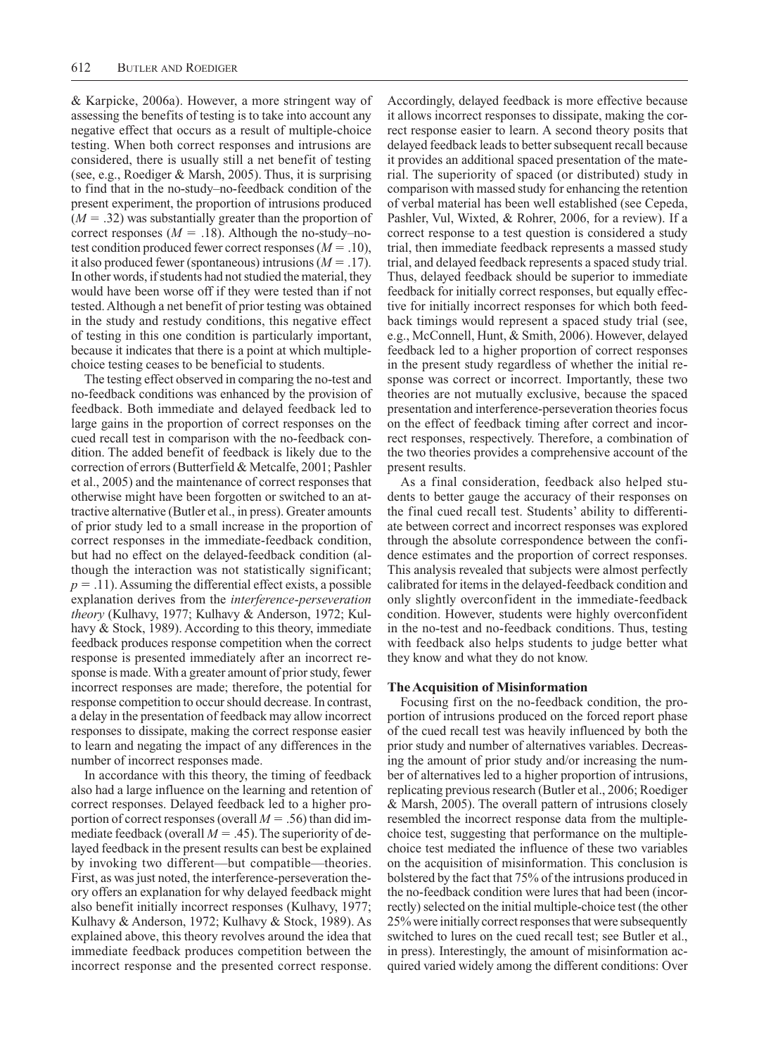& Karpicke, 2006a). However, a more stringent way of assessing the benefits of testing is to take into account any negative effect that occurs as a result of multiple-choice testing. When both correct responses and intrusions are considered, there is usually still a net benefit of testing (see, e.g., Roediger & Marsh, 2005). Thus, it is surprising to find that in the no-study–no-feedback condition of the present experiment, the proportion of intrusions produced  $(M = .32)$  was substantially greater than the proportion of correct responses ( $M = .18$ ). Although the no-study–notest condition produced fewer correct responses  $(M = .10)$ , it also produced fewer (spontaneous) intrusions  $(M = .17)$ . In other words, if students had not studied the material, they would have been worse off if they were tested than if not tested. Although a net benefit of prior testing was obtained in the study and restudy conditions, this negative effect of testing in this one condition is particularly important, because it indicates that there is a point at which multiplechoice testing ceases to be beneficial to students.

The testing effect observed in comparing the no-test and no-feedback conditions was enhanced by the provision of feedback. Both immediate and delayed feedback led to large gains in the proportion of correct responses on the cued recall test in comparison with the no-feedback condition. The added benefit of feedback is likely due to the correction of errors (Butterfield & Metcalfe, 2001; Pashler et al., 2005) and the maintenance of correct responses that otherwise might have been forgotten or switched to an attractive alternative (Butler et al., in press). Greater amounts of prior study led to a small increase in the proportion of correct responses in the immediate-feedback condition, but had no effect on the delayed-feedback condition (although the interaction was not statistically significant;  $p = .11$ ). Assuming the differential effect exists, a possible explanation derives from the *interference-perseveration theory* (Kulhavy, 1977; Kulhavy & Anderson, 1972; Kulhavy & Stock, 1989). According to this theory, immediate feedback produces response competition when the correct response is presented immediately after an incorrect response is made. With a greater amount of prior study, fewer incorrect responses are made; therefore, the potential for response competition to occur should decrease. In contrast, a delay in the presentation of feedback may allow incorrect responses to dissipate, making the correct response easier to learn and negating the impact of any differences in the number of incorrect responses made.

In accordance with this theory, the timing of feedback also had a large influence on the learning and retention of correct responses. Delayed feedback led to a higher proportion of correct responses (overall  $M = .56$ ) than did immediate feedback (overall  $M = .45$ ). The superiority of delayed feedback in the present results can best be explained by invoking two different—but compatible—theories. First, as was just noted, the interference-perseveration theory offers an explanation for why delayed feedback might also benefit initially incorrect responses (Kulhavy, 1977; Kulhavy & Anderson, 1972; Kulhavy & Stock, 1989). As explained above, this theory revolves around the idea that immediate feedback produces competition between the incorrect response and the presented correct response. Accordingly, delayed feedback is more effective because it allows incorrect responses to dissipate, making the correct response easier to learn. A second theory posits that delayed feedback leads to better subsequent recall because it provides an additional spaced presentation of the material. The superiority of spaced (or distributed) study in comparison with massed study for enhancing the retention of verbal material has been well established (see Cepeda, Pashler, Vul, Wixted, & Rohrer, 2006, for a review). If a correct response to a test question is considered a study trial, then immediate feedback represents a massed study trial, and delayed feedback represents a spaced study trial. Thus, delayed feedback should be superior to immediate feedback for initially correct responses, but equally effective for initially incorrect responses for which both feedback timings would represent a spaced study trial (see, e.g., McConnell, Hunt, & Smith, 2006). However, delayed feedback led to a higher proportion of correct responses in the present study regardless of whether the initial response was correct or incorrect. Importantly, these two theories are not mutually exclusive, because the spaced presentation and interference-perseveration theories focus on the effect of feedback timing after correct and incorrect responses, respectively. Therefore, a combination of the two theories provides a comprehensive account of the present results.

As a final consideration, feedback also helped students to better gauge the accuracy of their responses on the final cued recall test. Students' ability to differentiate between correct and incorrect responses was explored through the absolute correspondence between the confidence estimates and the proportion of correct responses. This analysis revealed that subjects were almost perfectly calibrated for items in the delayed-feedback condition and only slightly overconfident in the immediate-feedback condition. However, students were highly overconfident in the no-test and no-feedback conditions. Thus, testing with feedback also helps students to judge better what they know and what they do not know.

## **The Acquisition of Misinformation**

Focusing first on the no-feedback condition, the proportion of intrusions produced on the forced report phase of the cued recall test was heavily influenced by both the prior study and number of alternatives variables. Decreasing the amount of prior study and/or increasing the number of alternatives led to a higher proportion of intrusions, replicating previous research (Butler et al., 2006; Roediger & Marsh, 2005). The overall pattern of intrusions closely resembled the incorrect response data from the multiplechoice test, suggesting that performance on the multiplechoice test mediated the influence of these two variables on the acquisition of misinformation. This conclusion is bolstered by the fact that 75% of the intrusions produced in the no-feedback condition were lures that had been (incorrectly) selected on the initial multiple-choice test (the other 25% were initially correct responses that were subsequently switched to lures on the cued recall test; see Butler et al., in press). Interestingly, the amount of misinformation acquired varied widely among the different conditions: Over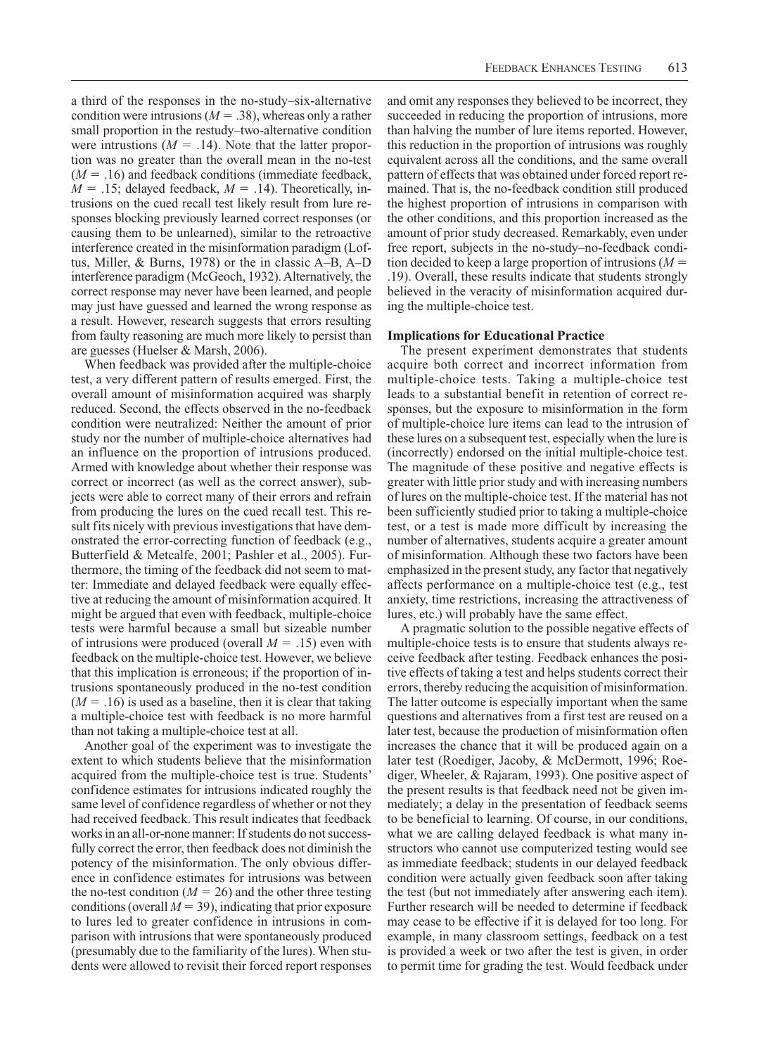a third of the responses in the no-study–six-alternative condition were intrusions  $(M = .38)$ , whereas only a rather small proportion in the restudy–two-alternative condition were intrustions  $(M = .14)$ . Note that the latter proportion was no greater than the overall mean in the no-test  $(M = .16)$  and feedback conditions (immediate feedback,  $M = .15$ ; delayed feedback,  $M = .14$ ). Theoretically, intrusions on the cued recall test likely result from lure responses blocking previously learned correct responses (or causing them to be unlearned), similar to the retroactive interference created in the misinformation paradigm (Loftus, Miller, & Burns, 1978) or the in classic A–B, A–D interference paradigm (McGeoch, 1932). Alternatively, the correct response may never have been learned, and people may just have guessed and learned the wrong response as a result. However, research suggests that errors resulting from faulty reasoning are much more likely to persist than are guesses (Huelser & Marsh, 2006).

When feedback was provided after the multiple-choice test, a very different pattern of results emerged. First, the overall amount of misinformation acquired was sharply reduced. Second, the effects observed in the no-feedback condition were neutralized: Neither the amount of prior study nor the number of multiple-choice alternatives had an influence on the proportion of intrusions produced. Armed with knowledge about whether their response was correct or incorrect (as well as the correct answer), subjects were able to correct many of their errors and refrain from producing the lures on the cued recall test. This result fits nicely with previous investigations that have demonstrated the error-correcting function of feedback (e.g., Butterfield & Metcalfe, 2001; Pashler et al., 2005). Furthermore, the timing of the feedback did not seem to matter: Immediate and delayed feedback were equally effective at reducing the amount of misinformation acquired. It might be argued that even with feedback, multiple-choice tests were harmful because a small but sizeable number of intrusions were produced (overall  $M = .15$ ) even with feedback on the multiple-choice test. However, we believe that this implication is erroneous; if the proportion of intrusions spontaneously produced in the no-test condition  $(M = .16)$  is used as a baseline, then it is clear that taking a multiple-choice test with feedback is no more harmful than not taking a multiple-choice test at all.

Another goal of the experiment was to investigate the extent to which students believe that the misinformation acquired from the multiple-choice test is true. Students' confidence estimates for intrusions indicated roughly the same level of confidence regardless of whether or not they had received feedback. This result indicates that feedback works in an all-or-none manner: If students do not successfully correct the error, then feedback does not diminish the potency of the misinformation. The only obvious difference in confidence estimates for intrusions was between the no-test condition  $(M = 26)$  and the other three testing conditions (overall  $M = 39$ ), indicating that prior exposure to lures led to greater confidence in intrusions in comparison with intrusions that were spontaneously produced (presumably due to the familiarity of the lures). When students were allowed to revisit their forced report responses and omit any responses they believed to be incorrect, they succeeded in reducing the proportion of intrusions, more than halving the number of lure items reported. However, this reduction in the proportion of intrusions was roughly equivalent across all the conditions, and the same overall pattern of effects that was obtained under forced report remained. That is, the no-feedback condition still produced the highest proportion of intrusions in comparison with the other conditions, and this proportion increased as the amount of prior study decreased. Remarkably, even under free report, subjects in the no-study–no-feedback condition decided to keep a large proportion of intrusions (*M* .19). Overall, these results indicate that students strongly believed in the veracity of misinformation acquired during the multiple-choice test.

#### **Implications for Educational Practice**

The present experiment demonstrates that students acquire both correct and incorrect information from multiple-choice tests. Taking a multiple-choice test leads to a substantial benefit in retention of correct responses, but the exposure to misinformation in the form of multiple-choice lure items can lead to the intrusion of these lures on a subsequent test, especially when the lure is (incorrectly) endorsed on the initial multiple-choice test. The magnitude of these positive and negative effects is greater with little prior study and with increasing numbers of lures on the multiple-choice test. If the material has not been sufficiently studied prior to taking a multiple-choice test, or a test is made more difficult by increasing the number of alternatives, students acquire a greater amount of misinformation. Although these two factors have been emphasized in the present study, any factor that negatively affects performance on a multiple-choice test (e.g., test anxiety, time restrictions, increasing the attractiveness of lures, etc.) will probably have the same effect.

A pragmatic solution to the possible negative effects of multiple-choice tests is to ensure that students always receive feedback after testing. Feedback enhances the positive effects of taking a test and helps students correct their errors, thereby reducing the acquisition of misinformation. The latter outcome is especially important when the same questions and alternatives from a first test are reused on a later test, because the production of misinformation often increases the chance that it will be produced again on a later test (Roediger, Jacoby, & McDermott, 1996; Roediger, Wheeler, & Rajaram, 1993). One positive aspect of the present results is that feedback need not be given immediately; a delay in the presentation of feedback seems to be beneficial to learning. Of course, in our conditions, what we are calling delayed feedback is what many instructors who cannot use computerized testing would see as immediate feedback; students in our delayed feedback condition were actually given feedback soon after taking the test (but not immediately after answering each item). Further research will be needed to determine if feedback may cease to be effective if it is delayed for too long. For example, in many classroom settings, feedback on a test is provided a week or two after the test is given, in order to permit time for grading the test. Would feedback under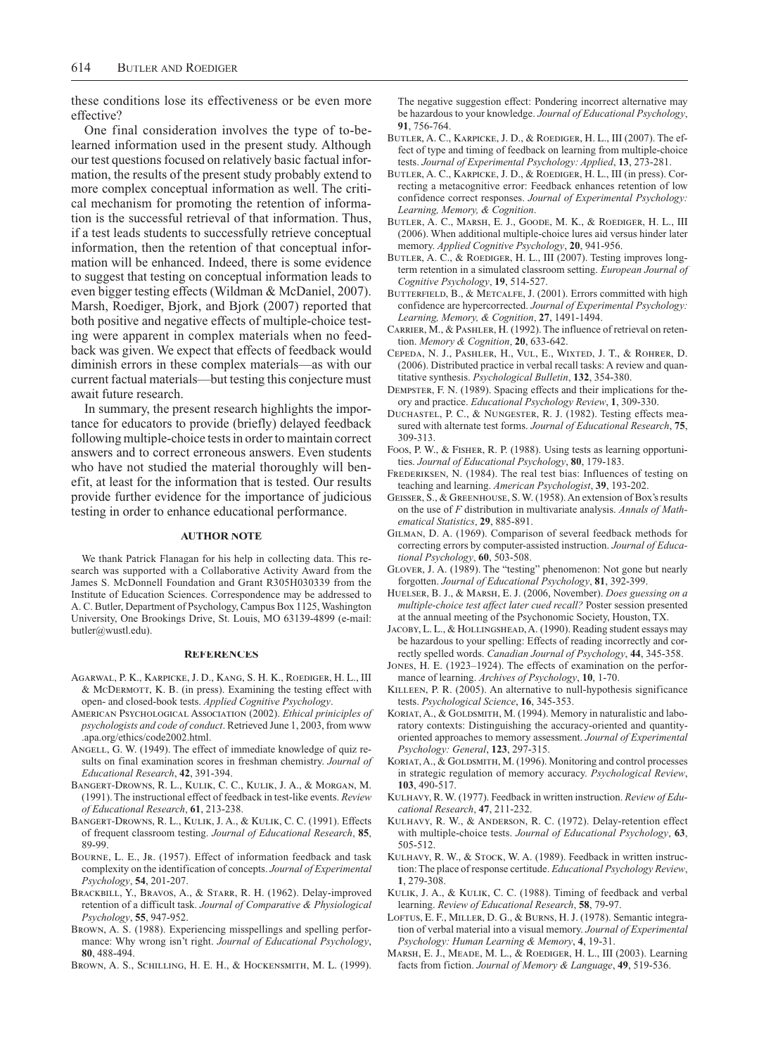these conditions lose its effectiveness or be even more effective?

One final consideration involves the type of to-belearned information used in the present study. Although our test questions focused on relatively basic factual information, the results of the present study probably extend to more complex conceptual information as well. The critical mechanism for promoting the retention of information is the successful retrieval of that information. Thus, if a test leads students to successfully retrieve conceptual information, then the retention of that conceptual information will be enhanced. Indeed, there is some evidence to suggest that testing on conceptual information leads to even bigger testing effects (Wildman & McDaniel, 2007). Marsh, Roediger, Bjork, and Bjork (2007) reported that both positive and negative effects of multiple-choice testing were apparent in complex materials when no feedback was given. We expect that effects of feedback would diminish errors in these complex materials—as with our current factual materials—but testing this conjecture must await future research.

In summary, the present research highlights the importance for educators to provide (briefly) delayed feedback following multiple-choice tests in order to maintain correct answers and to correct erroneous answers. Even students who have not studied the material thoroughly will benefit, at least for the information that is tested. Our results provide further evidence for the importance of judicious testing in order to enhance educational performance.

#### **AUTHOR NOTE**

We thank Patrick Flanagan for his help in collecting data. This research was supported with a Collaborative Activity Award from the James S. McDonnell Foundation and Grant R305H030339 from the Institute of Education Sciences. Correspondence may be addressed to A. C. Butler, Department of Psychology, Campus Box 1125, Washington University, One Brookings Drive, St. Louis, MO 63139-4899 (e-mail: butler@wustl.edu).

#### **REFERENCES**

- Agarwal, P. K., Karpicke, J. D., Kang, S. H. K., Roediger, H. L., III & McDermott, K. B. (in press). Examining the testing effect with open- and closed-book tests. *Applied Cognitive Psychology*.
- American Psychological Association (2002). *Ethical priniciples of psychologists and code of conduct*. Retrieved June 1, 2003, from www .apa.org/ethics/code2002.html.
- ANGELL, G. W. (1949). The effect of immediate knowledge of quiz results on final examination scores in freshman chemistry. *Journal of Educational Research*, **42**, 391-394.
- Bangert-Drowns, R. L., Kulik, C. C., Kulik, J. A., & Morgan, M. (1991). The instructional effect of feedback in test-like events. *Review of Educational Research*, **61**, 213-238.
- Bangert-Drowns, R. L., Kulik, J. A., & Kulik, C. C. (1991). Effects of frequent classroom testing. *Journal of Educational Research*, **85**, 89-99.
- BOURNE, L. E., Jr. (1957). Effect of information feedback and task complexity on the identification of concepts. *Journal of Experimental Psychology*, **54**, 201-207.
- Brackbill, Y., Bravos, A., & Starr, R. H. (1962). Delay-improved retention of a difficult task. *Journal of Comparative & Physiological Psychology*, **55**, 947-952.
- Brown, A. S. (1988). Experiencing misspellings and spelling performance: Why wrong isn't right. *Journal of Educational Psychology*, **80**, 488-494.
- Brown, A. S., Schilling, H. E. H., & Hockensmith, M. L. (1999).

The negative suggestion effect: Pondering incorrect alternative may be hazardous to your knowledge. *Journal of Educational Psychology*, **91**, 756-764.

- Butler, A. C., Karpicke, J. D., & Roediger, H. L., III (2007). The effect of type and timing of feedback on learning from multiple-choice tests. *Journal of Experimental Psychology: Applied*, **13**, 273-281.
- Butler, A. C., Karpicke, J. D., & Roediger, H. L., III (in press). Correcting a metacognitive error: Feedback enhances retention of low confidence correct responses. *Journal of Experimental Psychology: Learning, Memory, & Cognition*.
- Butler, A. C., Marsh, E. J., Goode, M. K., & Roediger, H. L., III (2006). When additional multiple-choice lures aid versus hinder later memory. *Applied Cognitive Psychology*, **20**, 941-956.
- BUTLER, A. C., & ROEDIGER, H. L., III (2007). Testing improves longterm retention in a simulated classroom setting. *European Journal of Cognitive Psychology*, **19**, 514-527.
- BUTTERFIELD, B., & METCALFE, J. (2001). Errors committed with high confidence are hypercorrected. *Journal of Experimental Psychology: Learning, Memory, & Cognition*, **27**, 1491-1494.
- CARRIER, M., & PASHLER, H. (1992). The influence of retrieval on retention. *Memory & Cognition*, **20**, 633-642.
- Cepeda, N. J., Pashler, H., Vul, E., Wixted, J. T., & Rohrer, D. (2006). Distributed practice in verbal recall tasks: A review and quantitative synthesis. *Psychological Bulletin*, **132**, 354-380.
- Dempster, F. N. (1989). Spacing effects and their implications for theory and practice. *Educational Psychology Review*, **1**, 309-330.
- Duchastel, P. C., & Nungester, R. J. (1982). Testing effects measured with alternate test forms. *Journal of Educational Research*, **75**, 309-313.
- Foos, P. W., & Fisher, R. P. (1988). Using tests as learning opportunities. *Journal of Educational Psychology*, **80**, 179-183.
- FREDERIKSEN, N. (1984). The real test bias: Influences of testing on teaching and learning. *American Psychologist*, **39**, 193-202.
- Geisser, S., & Greenhouse, S. W. (1958). An extension of Box's results on the use of *F* distribution in multivariate analysis. *Annals of Mathematical Statistics*, **29**, 885-891.
- Gilman, D. A. (1969). Comparison of several feedback methods for correcting errors by computer-assisted instruction. *Journal of Educational Psychology*, **60**, 503-508.
- Glover, J. A. (1989). The "testing" phenomenon: Not gone but nearly forgotten. *Journal of Educational Psychology*, **81**, 392-399.
- Huelser, B. J., & Marsh, E. J. (2006, November). *Does guessing on a multiple-choice test affect later cued recall?* Poster session presented at the annual meeting of the Psychonomic Society, Houston, TX.
- JACOBY, L. L., & HOLLINGSHEAD, A. (1990). Reading student essays may be hazardous to your spelling: Effects of reading incorrectly and correctly spelled words. *Canadian Journal of Psychology*, **44**, 345-358.
- Jones, H. E. (1923–1924). The effects of examination on the performance of learning. *Archives of Psychology*, **10**, 1-70.
- Killeen, P. R. (2005). An alternative to null-hypothesis significance tests. *Psychological Science*, **16**, 345-353.
- KORIAT, A., & GOLDSMITH, M. (1994). Memory in naturalistic and laboratory contexts: Distinguishing the accuracy-oriented and quantityoriented approaches to memory assessment. *Journal of Experimental Psychology: General*, **123**, 297-315.
- KORIAT, A., & GOLDSMITH, M. (1996). Monitoring and control processes in strategic regulation of memory accuracy. *Psychological Review*, **103**, 490-517.
- Kulhavy, R. W. (1977). Feedback in written instruction. *Review of Educational Research*, **47**, 211-232.
- Kulhavy, R. W., & Anderson, R. C. (1972). Delay-retention effect with multiple-choice tests. *Journal of Educational Psychology*, **63**, 505-512.
- KULHAVY, R. W., & STOCK, W. A. (1989). Feedback in written instruction: The place of response certitude. *Educational Psychology Review*, **1**, 279-308.
- KULIK, J. A., & KULIK, C. C. (1988). Timing of feedback and verbal learning. *Review of Educational Research*, **58**, 79-97.
- LOFTUS, E. F., MILLER, D. G., & BURNS, H. J. (1978). Semantic integration of verbal material into a visual memory. *Journal of Experimental Psychology: Human Learning & Memory*, **4**, 19-31.
- Marsh, E. J., Meade, M. L., & Roediger, H. L., III (2003). Learning facts from fiction. *Journal of Memory & Language*, **49**, 519-536.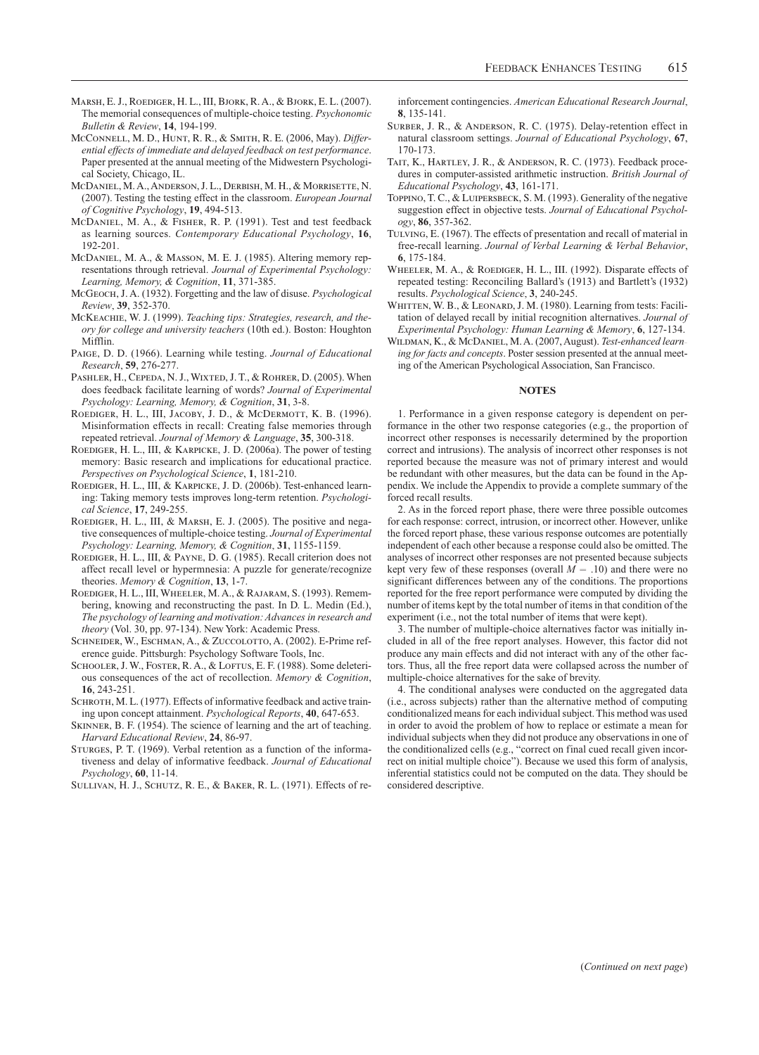- Marsh, E. J., Roediger, H. L., III, Bjork, R. A., & Bjork, E. L. (2007). The memorial consequences of multiple-choice testing. *Psychonomic Bulletin & Review*, **14**, 194-199.
- McConnell, M. D., Hunt, R. R., & Smith, R. E. (2006, May). *Differential effects of immediate and delayed feedback on test performance*. Paper presented at the annual meeting of the Midwestern Psychological Society, Chicago, IL.
- McDaniel, M. A., Anderson, J. L., Derbish, M. H., & Morrisette, N. (2007). Testing the testing effect in the classroom. *European Journal of Cognitive Psychology*, **19**, 494-513.
- McDaniel, M. A., & Fisher, R. P. (1991). Test and test feedback as learning sources. *Contemporary Educational Psychology*, **16**, 192-201.
- McDaniel, M. A., & Masson, M. E. J. (1985). Altering memory representations through retrieval. *Journal of Experimental Psychology: Learning, Memory, & Cognition*, **11**, 371-385.
- McGeoch, J. A. (1932). Forgetting and the law of disuse. *Psychological Review*, **39**, 352-370.
- McKeachie, W. J. (1999). *Teaching tips: Strategies, research, and theory for college and university teachers* (10th ed.). Boston: Houghton Mifflin.
- Paige, D. D. (1966). Learning while testing. *Journal of Educational Research*, **59**, 276-277.
- PASHLER, H., CEPEDA, N. J., WIXTED, J. T., & ROHRER, D. (2005). When does feedback facilitate learning of words? *Journal of Experimental Psychology: Learning, Memory, & Cognition*, **31**, 3-8.
- Roediger, H. L., III, Jacoby, J. D., & McDermott, K. B. (1996). Misinformation effects in recall: Creating false memories through repeated retrieval. *Journal of Memory & Language*, **35**, 300-318.
- ROEDIGER, H. L., III, & KARPICKE, J. D. (2006a). The power of testing memory: Basic research and implications for educational practice. *Perspectives on Psychological Science*, **1**, 181-210.
- ROEDIGER, H. L., III, & KARPICKE, J. D. (2006b). Test-enhanced learning: Taking memory tests improves long-term retention. *Psychological Science*, **17**, 249-255.
- ROEDIGER, H. L., III, & MARSH, E. J. (2005). The positive and negative consequences of multiple-choice testing. *Journal of Experimental Psychology: Learning, Memory, & Cognition*, **31**, 1155-1159.
- ROEDIGER, H. L., III, & PAYNE, D. G. (1985). Recall criterion does not affect recall level or hypermnesia: A puzzle for generate/recognize theories. *Memory & Cognition*, **13**, 1-7.
- Roediger, H. L., III, Wheeler, M. A., & Rajaram, S. (1993). Remembering, knowing and reconstructing the past. In D. L. Medin (Ed.), *The psychology of learning and motivation: Advances in research and theory* (Vol. 30, pp. 97-134). New York: Academic Press.
- SCHNEIDER, W., ESCHMAN, A., & ZUCCOLOTTO, A. (2002). E-Prime reference guide. Pittsburgh: Psychology Software Tools, Inc.
- SCHOOLER, J. W., FOSTER, R. A., & LOFTUS, E. F. (1988). Some deleterious consequences of the act of recollection. *Memory & Cognition*, **16**, 243-251.
- SCHROTH, M. L. (1977). Effects of informative feedback and active training upon concept attainment. *Psychological Reports*, **40**, 647-653.
- Skinner, B. F. (1954). The science of learning and the art of teaching. *Harvard Educational Review*, **24**, 86-97.
- STURGES, P. T. (1969). Verbal retention as a function of the informativeness and delay of informative feedback. *Journal of Educational Psychology*, **60**, 11-14.
- Sullivan, H. J., Schutz, R. E., & Baker, R. L. (1971). Effects of re-

inforcement contingencies. *American Educational Research Journal*, **8**, 135-141.

- Surber, J. R., & Anderson, R. C. (1975). Delay-retention effect in natural classroom settings. *Journal of Educational Psychology*, **67**, 170-173.
- Tait, K., Hartley, J. R., & Anderson, R. C. (1973). Feedback procedures in computer-assisted arithmetic instruction. *British Journal of Educational Psychology*, **43**, 161-171.
- Toppino, T. C., & Luipersbeck, S. M. (1993). Generality of the negative suggestion effect in objective tests. *Journal of Educational Psychology*, **86**, 357-362.
- Tulving, E. (1967). The effects of presentation and recall of material in free-recall learning. *Journal of Verbal Learning & Verbal Behavior*, **6**, 175-184.
- Wheeler, M. A., & Roediger, H. L., III. (1992). Disparate effects of repeated testing: Reconciling Ballard's (1913) and Bartlett's (1932) results. *Psychological Science*, **3**, 240-245.
- WHITTEN, W. B., & LEONARD, J. M. (1980). Learning from tests: Facilitation of delayed recall by initial recognition alternatives. *Journal of Experimental Psychology: Human Learning & Memory*, **6**, 127-134.
- Wildman, K., & McDaniel, M. A. (2007, August). *Test-enhanced learning for facts and concepts*. Poster session presented at the annual meeting of the American Psychological Association, San Francisco.

#### **NOTES**

1. Performance in a given response category is dependent on performance in the other two response categories (e.g., the proportion of incorrect other responses is necessarily determined by the proportion correct and intrusions). The analysis of incorrect other responses is not reported because the measure was not of primary interest and would be redundant with other measures, but the data can be found in the Appendix. We include the Appendix to provide a complete summary of the forced recall results.

2. As in the forced report phase, there were three possible outcomes for each response: correct, intrusion, or incorrect other. However, unlike the forced report phase, these various response outcomes are potentially independent of each other because a response could also be omitted. The analyses of incorrect other responses are not presented because subjects kept very few of these responses (overall  $M = .10$ ) and there were no significant differences between any of the conditions. The proportions reported for the free report performance were computed by dividing the number of items kept by the total number of items in that condition of the experiment (i.e., not the total number of items that were kept).

3. The number of multiple-choice alternatives factor was initially included in all of the free report analyses. However, this factor did not produce any main effects and did not interact with any of the other factors. Thus, all the free report data were collapsed across the number of multiple-choice alternatives for the sake of brevity.

4. The conditional analyses were conducted on the aggregated data (i.e., across subjects) rather than the alternative method of computing conditionalized means for each individual subject. This method was used in order to avoid the problem of how to replace or estimate a mean for individual subjects when they did not produce any observations in one of the conditionalized cells (e.g., "correct on final cued recall given incorrect on initial multiple choice"). Because we used this form of analysis, inferential statistics could not be computed on the data. They should be considered descriptive.